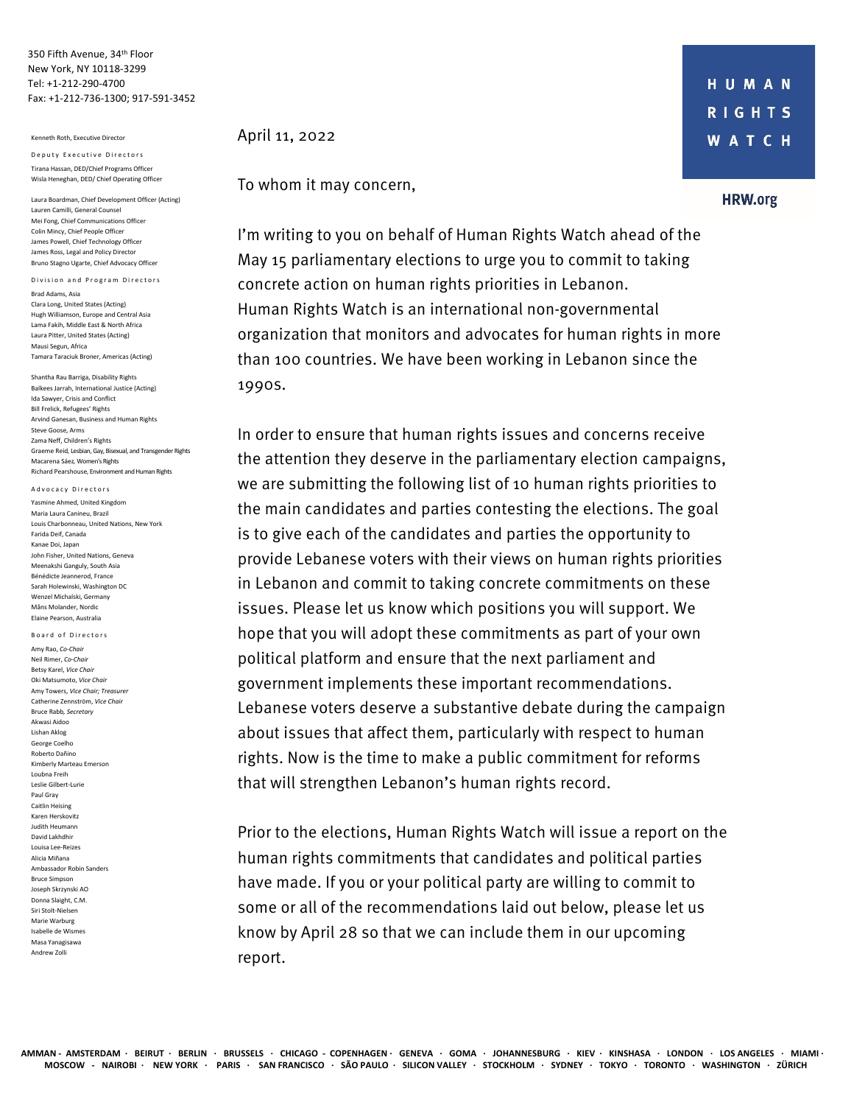350 Fifth Avenue, 34th Floor New York, NY 10118-3299 Tel: +1-212-290-4700 Fax: +1-212-736-1300; 917-591-3452

#### Kenneth Roth, Executive Director

Deputy Executive Directors Tirana Hassan, DED/Chief Programs Officer Wisla Heneghan, DED/ Chief Operating Officer

Laura Boardman, Chief Development Officer (Acting) Lauren Camilli, General Counsel Mei Fong, Chief Communications Officer Colin Mincy, Chief People Officer James Powell, Chief Technology Officer James Ross, Legal and Policy Director Bruno Stagno Ugarte, Chief Advocacy Officer

Division and Program Directors Brad Adams, Asia Clara Long, United States (Acting) Hugh Williamson, Europe and Central Asia Lama Fakih, Middle East & North Africa Laura Pitter, United States (Acting) Mausi Segun, Africa Tamara Taraciuk Broner, Americas (Acting)

Shantha Rau Barriga, Disability Rights Balkees Jarrah, International Justice (Acting) Ida Sawyer, Crisis and Conflict Bill Frelick, Refugees' Rights Arvind Ganesan, Business and Human Rights Steve Goose, Arms Zama Neff, Children's Rights Graeme Reid, Lesbian, Gay, Bisexual, and Transgender Rights Macarena Sáez, Women's Rights Richard Pearshouse, Environment and Human Rights

Yasmine Ahmed, United Kingdom Maria Laura Canineu, Brazil Louis Charbonneau, United Nations, New York Farida Deif, Canada Kanae Doi, Japan John Fisher, United Nations, Geneva Meenakshi Ganguly, South Asia Bénédicte Jeannerod, France Sarah Holewinski, Washington DC Wenzel Michalski, Germany Måns Molander, Nordic Elaine Pearson, Australia

Board of Directors

Advocacy Directors

Amy Rao, *Co-Chair* Neil Rimer, *Co-Chair* Betsy Karel, *Vice Chair* Oki Matsumoto, *Vice Chair* Amy Towers, *Vice Chair; Treasurer* Catherine Zennström, *Vice Chair* Bruce Rabb*, Secretary* Akwasi Aidoo Lishan Aklog George Coelho Roberto Dañino Kimberly Marteau Emerson Loubna Freih Leslie Gilbert-Lurie Paul Gray Caitlin Heising Karen Herskovitz Judith Heumann David Lakhdhir Louisa Lee-Reizes Alicia Miñana Ambassador Robin Sanders Bruce Simpson Joseph Skrzynski AO Donna Slaight, C.M. Siri Stolt-Nielsen Marie Warburg Isabelle de Wismes Masa Yanagisawa Andrew Zolli

April 11, 2022

To whom it may concern,

I'm writing to you on behalf of Human Rights Watch ahead of the May 15 parliamentary elections to urge you to commit to taking concrete action on human rights priorities in Lebanon. Human Rights Watch is an international non-governmental organization that monitors and advocates for human rights in more than 100 countries. We have been working in Lebanon since the 1990s.

In order to ensure that human rights issues and concerns receive the attention they deserve in the parliamentary election campaigns, we are submitting the following list of 10 human rights priorities to the main candidates and parties contesting the elections. The goal is to give each of the candidates and parties the opportunity to provide Lebanese voters with their views on human rights priorities in Lebanon and commit to taking concrete commitments on these issues. Please let us know which positions you will support. We hope that you will adopt these commitments as part of your own political platform and ensure that the next parliament and government implements these important recommendations. Lebanese voters deserve a substantive debate during the campaign about issues that affect them, particularly with respect to human rights. Now is the time to make a public commitment for reforms that will strengthen Lebanon's human rights record.

Prior to the elections, Human Rights Watch will issue a report on the human rights commitments that candidates and political parties have made. If you or your political party are willing to commit to some or all of the recommendations laid out below, please let us know by April 28 so that we can include them in our upcoming report.

#### **HRW.org**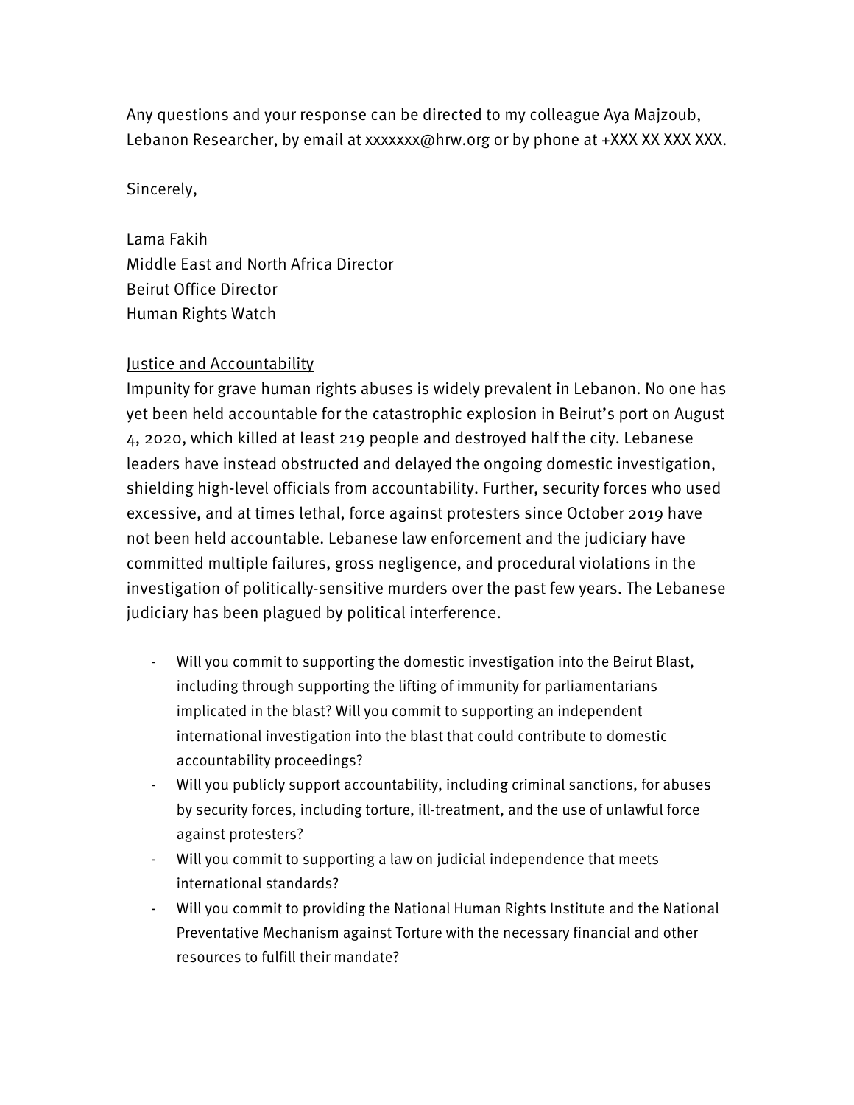Any questions and your response can be directed to my colleague Aya Majzoub, Lebanon Researcher, by email at xxxxxxx@hrw.org or by phone at +XXX XX XXX XXX.

Sincerely,

Lama Fakih Middle East and North Africa Director Beirut Office Director Human Rights Watch

# Justice and Accountability

Impunity for grave human rights abuses is widely prevalent in Lebanon. No one has yet been held accountable for the catastrophic explosion in Beirut's port on August 4, 2020, which killed at least 219 people and destroyed half the city. Lebanese leaders have instead obstructed and delayed the ongoing domestic investigation, shielding high-level officials from accountability. Further, security forces who used excessive, and at times lethal, force against protesters since October 2019 have not been held accountable. Lebanese law enforcement and the judiciary have committed multiple failures, gross negligence, and procedural violations in the investigation of politically-sensitive murders over the past few years. The Lebanese judiciary has been plagued by political interference.

- Will you commit to supporting the domestic investigation into the Beirut Blast, including through supporting the lifting of immunity for parliamentarians implicated in the blast? Will you commit to supporting an independent international investigation into the blast that could contribute to domestic accountability proceedings?
- Will you publicly support accountability, including criminal sanctions, for abuses by security forces, including torture, ill-treatment, and the use of unlawful force against protesters?
- Will you commit to supporting a law on judicial independence that meets international standards?
- Will you commit to providing the National Human Rights Institute and the National Preventative Mechanism against Torture with the necessary financial and other resources to fulfill their mandate?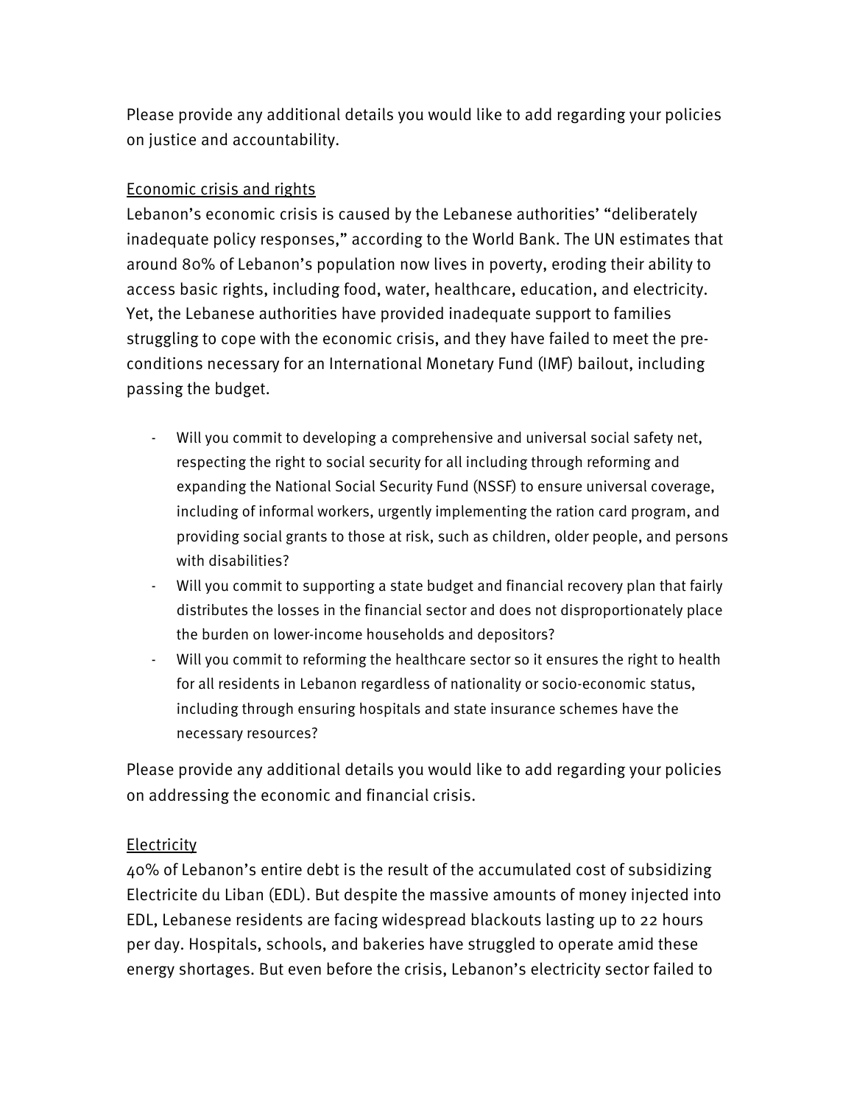Please provide any additional details you would like to add regarding your policies on justice and accountability.

## Economic crisis and rights

Lebanon's economic crisis is caused by the Lebanese authorities' "deliberately inadequate policy responses," according to the World Bank. The UN estimates that around 80% of Lebanon's population now lives in poverty, eroding their ability to access basic rights, including food, water, healthcare, education, and electricity. Yet, the Lebanese authorities have provided inadequate support to families struggling to cope with the economic crisis, and they have failed to meet the preconditions necessary for an International Monetary Fund (IMF) bailout, including passing the budget.

- Will you commit to developing a comprehensive and universal social safety net, respecting the right to social security for all including through reforming and expanding the National Social Security Fund (NSSF) to ensure universal coverage, including of informal workers, urgently implementing the ration card program, and providing social grants to those at risk, such as children, older people, and persons with disabilities?
- Will you commit to supporting a state budget and financial recovery plan that fairly distributes the losses in the financial sector and does not disproportionately place the burden on lower-income households and depositors?
- Will you commit to reforming the healthcare sector so it ensures the right to health for all residents in Lebanon regardless of nationality or socio-economic status, including through ensuring hospitals and state insurance schemes have the necessary resources?

Please provide any additional details you would like to add regarding your policies on addressing the economic and financial crisis.

## **Electricity**

40% of Lebanon's entire debt is the result of the accumulated cost of subsidizing Electricite du Liban (EDL). But despite the massive amounts of money injected into EDL, Lebanese residents are facing widespread blackouts lasting up to 22 hours per day. Hospitals, schools, and bakeries have struggled to operate amid these energy shortages. But even before the crisis, Lebanon's electricity sector failed to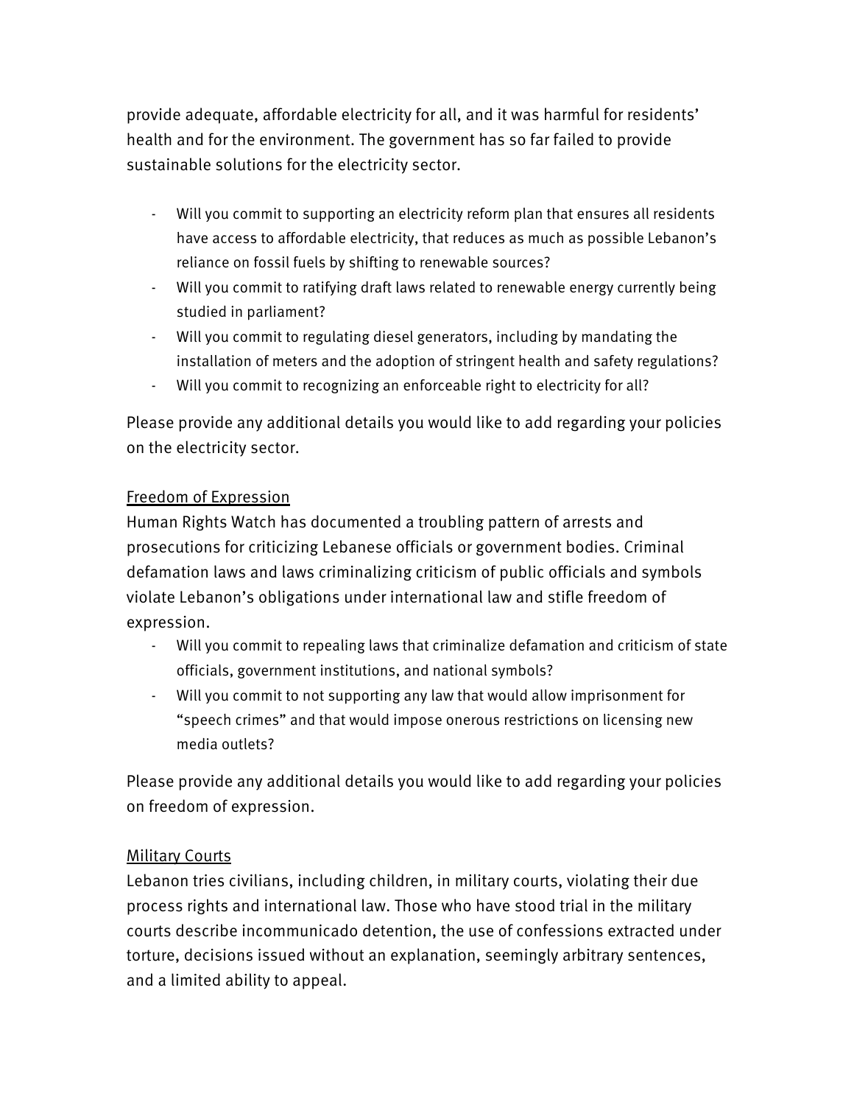provide adequate, affordable electricity for all, and it was harmful for residents' health and for the environment. The government has so far failed to provide sustainable solutions for the electricity sector.

- Will you commit to supporting an electricity reform plan that ensures all residents have access to affordable electricity, that reduces as much as possible Lebanon's reliance on fossil fuels by shifting to renewable sources?
- Will you commit to ratifying draft laws related to renewable energy currently being studied in parliament?
- Will you commit to regulating diesel generators, including by mandating the installation of meters and the adoption of stringent health and safety regulations?
- Will you commit to recognizing an enforceable right to electricity for all?

Please provide any additional details you would like to add regarding your policies on the electricity sector.

## Freedom of Expression

Human Rights Watch has documented a troubling pattern of arrests and prosecutions for criticizing Lebanese officials or government bodies. Criminal defamation laws and laws criminalizing criticism of public officials and symbols violate Lebanon's obligations under international law and stifle freedom of expression.

- Will you commit to repealing laws that criminalize defamation and criticism of state officials, government institutions, and national symbols?
- Will you commit to not supporting any law that would allow imprisonment for "speech crimes" and that would impose onerous restrictions on licensing new media outlets?

Please provide any additional details you would like to add regarding your policies on freedom of expression.

## Military Courts

Lebanon tries civilians, including children, in military courts, violating their due process rights and international law. Those who have stood trial in the military courts describe incommunicado detention, the use of confessions extracted under torture, decisions issued without an explanation, seemingly arbitrary sentences, and a limited ability to appeal.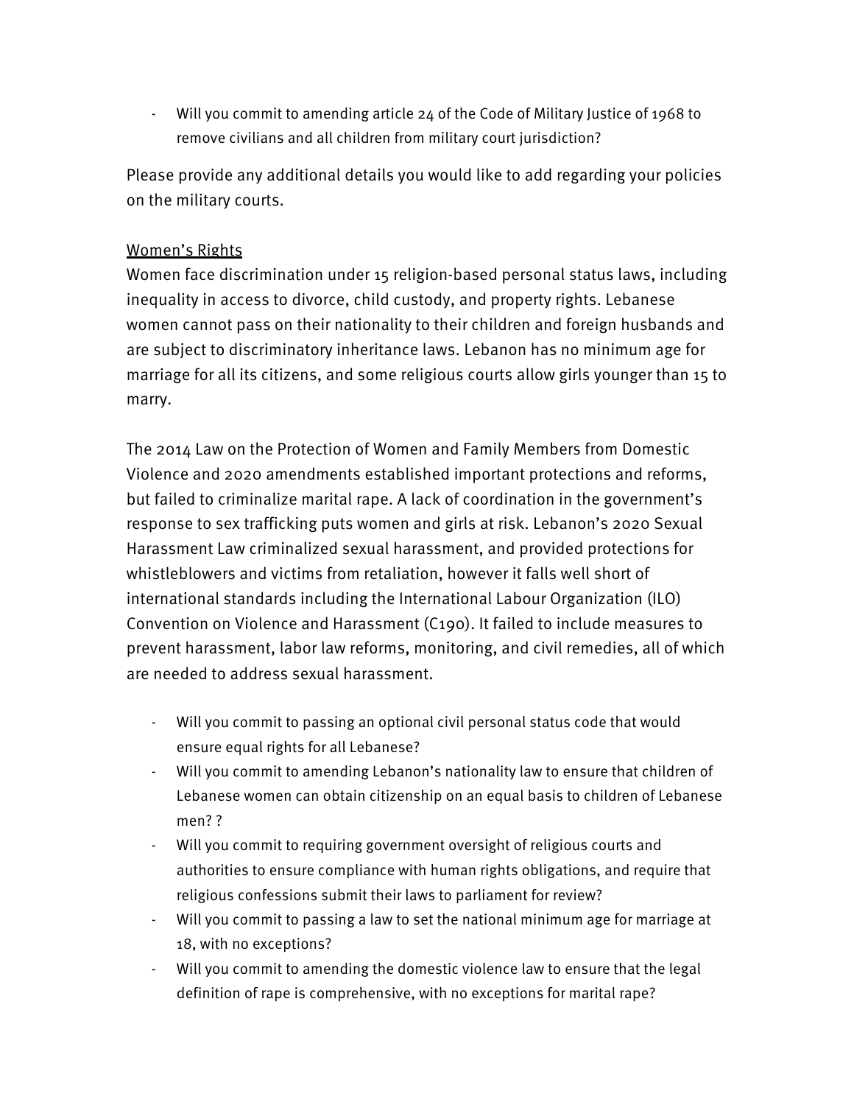- Will you commit to amending article 24 of the Code of Military Justice of 1968 to remove civilians and all children from military court jurisdiction?

Please provide any additional details you would like to add regarding your policies on the military courts.

#### Women's Rights

Women face discrimination under 15 religion-based personal status laws, including inequality in access to divorce, child custody, and property rights. Lebanese women cannot pass on their nationality to their children and foreign husbands and are subject to discriminatory inheritance laws. Lebanon has no minimum age for marriage for all its citizens, and some religious courts allow girls younger than 15 to marry.

The 2014 Law on the Protection of Women and Family Members from Domestic Violence and 2020 amendments established important protections and reforms, but failed to criminalize marital rape. A lack of coordination in the government's response to sex trafficking puts women and girls at risk. Lebanon's 2020 Sexual Harassment Law criminalized sexual harassment, and provided protections for whistleblowers and victims from retaliation, however it falls well short of international standards including the International Labour Organization (ILO) Convention on Violence and Harassment (C190). It failed to include measures to prevent harassment, labor law reforms, monitoring, and civil remedies, all of which are needed to address sexual harassment.

- Will you commit to passing an optional civil personal status code that would ensure equal rights for all Lebanese?
- Will you commit to amending Lebanon's nationality law to ensure that children of Lebanese women can obtain citizenship on an equal basis to children of Lebanese men? ?
- Will you commit to requiring government oversight of religious courts and authorities to ensure compliance with human rights obligations, and require that religious confessions submit their laws to parliament for review?
- Will you commit to passing a law to set the national minimum age for marriage at 18, with no exceptions?
- Will you commit to amending the domestic violence law to ensure that the legal definition of rape is comprehensive, with no exceptions for marital rape?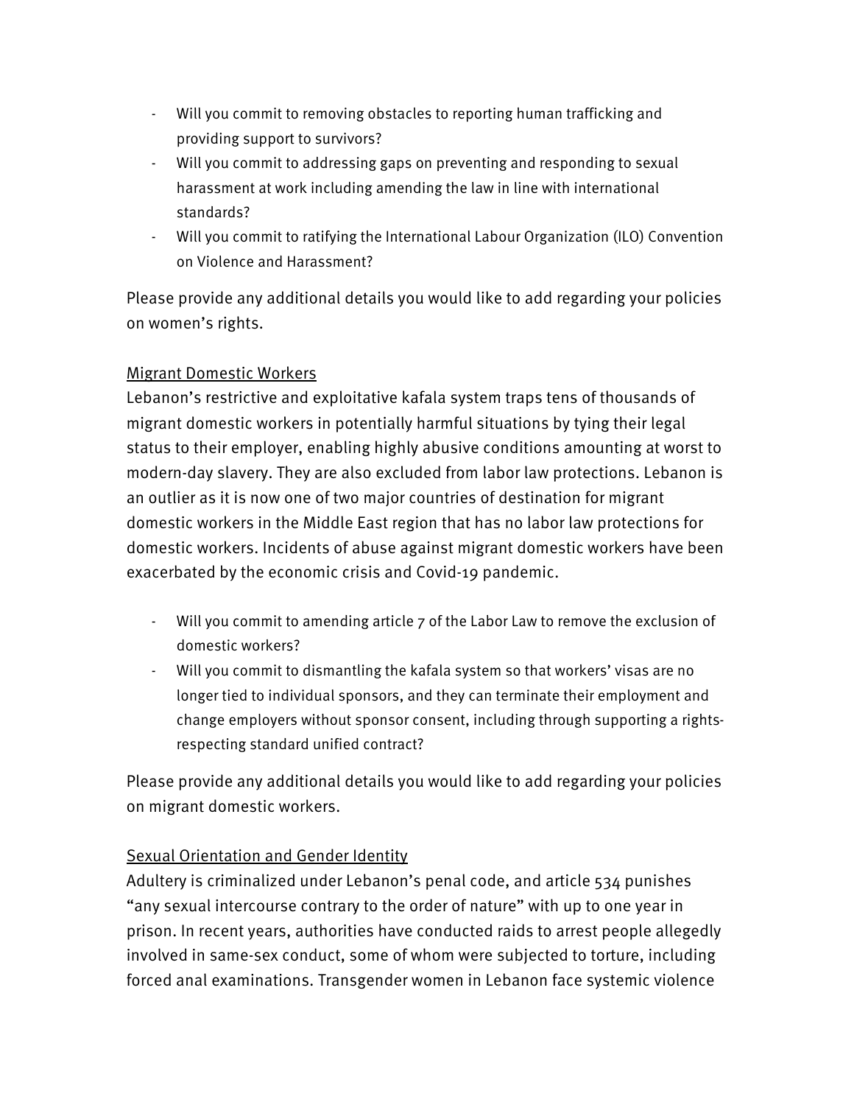- Will you commit to removing obstacles to reporting human trafficking and providing support to survivors?
- Will you commit to addressing gaps on preventing and responding to sexual harassment at work including amending the law in line with international standards?
- Will you commit to ratifying the International Labour Organization (ILO) Convention on Violence and Harassment?

Please provide any additional details you would like to add regarding your policies on women's rights.

# Migrant Domestic Workers

Lebanon's restrictive and exploitative kafala system traps tens of thousands of migrant domestic workers in potentially harmful situations by tying their legal status to their employer, enabling highly abusive conditions amounting at worst to modern-day slavery. They are also excluded from labor law protections. Lebanon is an outlier as it is now one of two major countries of destination for migrant domestic workers in the Middle East region that has no labor law protections for domestic workers. Incidents of abuse against migrant domestic workers have been exacerbated by the economic crisis and Covid-19 pandemic.

- Will you commit to amending article 7 of the Labor Law to remove the exclusion of domestic workers?
- Will you commit to dismantling the kafala system so that workers' visas are no longer tied to individual sponsors, and they can terminate their employment and change employers without sponsor consent, including through supporting a rightsrespecting standard unified contract?

Please provide any additional details you would like to add regarding your policies on migrant domestic workers.

# Sexual Orientation and Gender Identity

Adultery is criminalized under Lebanon's penal code, and article 534 punishes "any sexual intercourse contrary to the order of nature" with up to one year in prison. In recent years, authorities have conducted raids to arrest people allegedly involved in same-sex conduct, some of whom were subjected to torture, including forced anal examinations. Transgender women in Lebanon face systemic violence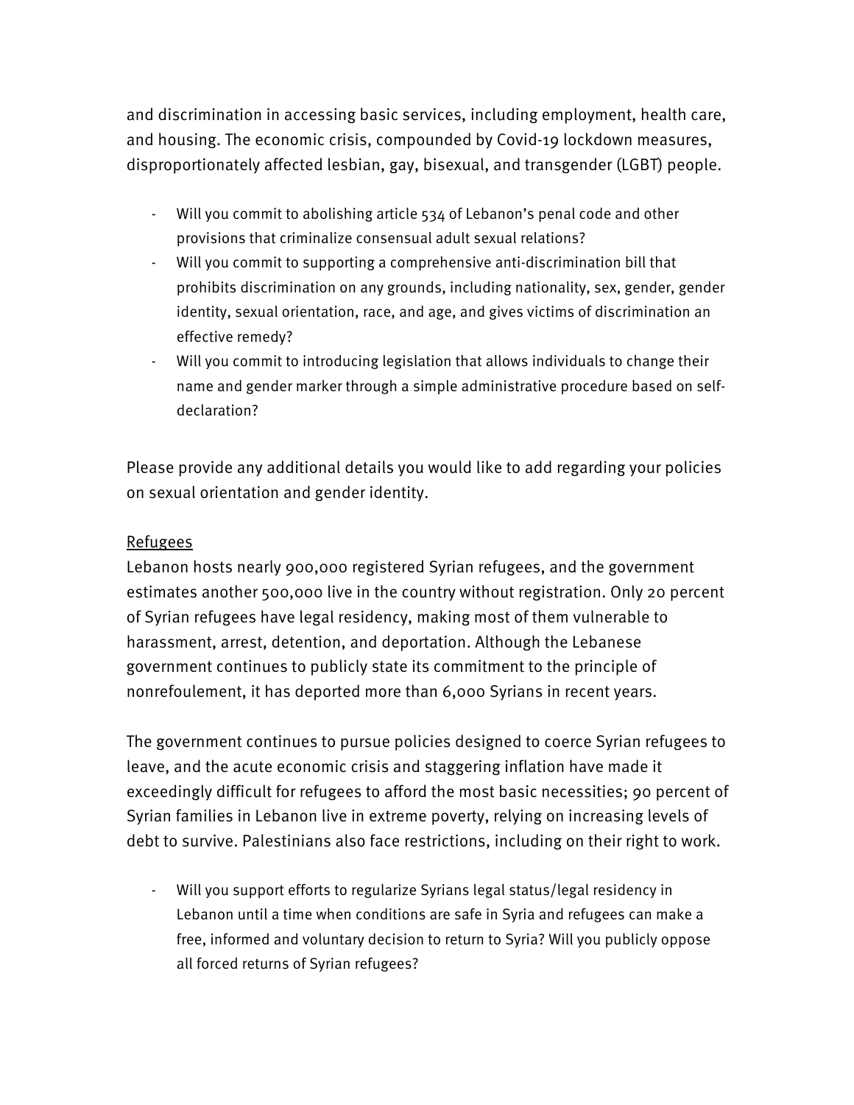and discrimination in accessing basic services, including employment, health care, and housing. The economic crisis, compounded by Covid-19 lockdown measures, disproportionately affected lesbian, gay, bisexual, and transgender (LGBT) people.

- Will you commit to abolishing article 534 of Lebanon's penal code and other provisions that criminalize consensual adult sexual relations?
- Will you commit to supporting a comprehensive anti-discrimination bill that prohibits discrimination on any grounds, including nationality, sex, gender, gender identity, sexual orientation, race, and age, and gives victims of discrimination an effective remedy?
- Will you commit to introducing legislation that allows individuals to change their name and gender marker through a simple administrative procedure based on selfdeclaration?

Please provide any additional details you would like to add regarding your policies on sexual orientation and gender identity.

#### Refugees

Lebanon hosts nearly 900,000 registered Syrian refugees, and the government estimates another 500,000 live in the country without registration. Only 20 percent of Syrian refugees have legal residency, making most of them vulnerable to harassment, arrest, detention, and deportation. Although the Lebanese government continues to publicly state its commitment to the principle of nonrefoulement, it has deported more than 6,000 Syrians in recent years.

The government continues to pursue policies designed to coerce Syrian refugees to leave, and the acute economic crisis and staggering inflation have made it exceedingly difficult for refugees to afford the most basic necessities; 90 percent of Syrian families in Lebanon live in extreme poverty, relying on increasing levels of debt to survive. Palestinians also face restrictions, including on their right to work.

- Will you support efforts to regularize Syrians legal status/legal residency in Lebanon until a time when conditions are safe in Syria and refugees can make a free, informed and voluntary decision to return to Syria? Will you publicly oppose all forced returns of Syrian refugees?